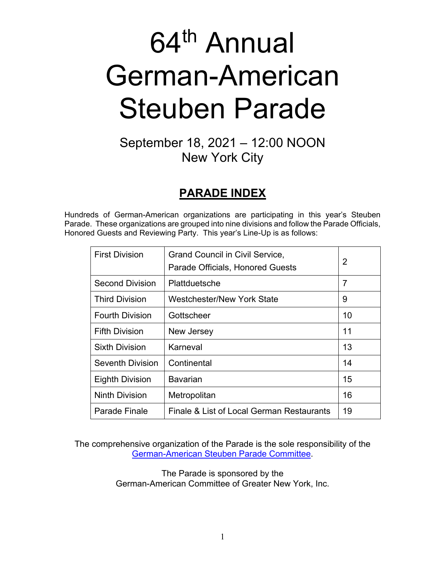# 64<sup>th</sup> Annual German-American Steuben Parade

## September 18, 2021 – 12:00 NOON New York City

## **PARADE INDEX**

Hundreds of German-American organizations are participating in this year's Steuben Parade. These organizations are grouped into nine divisions and follow the Parade Officials, Honored Guests and Reviewing Party. This year's Line-Up is as follows:

| <b>First Division</b>   | <b>Grand Council in Civil Service,</b><br>Parade Officials, Honored Guests | 2              |
|-------------------------|----------------------------------------------------------------------------|----------------|
| <b>Second Division</b>  | Plattduetsche                                                              | $\overline{7}$ |
| <b>Third Division</b>   | <b>Westchester/New York State</b>                                          | 9              |
| <b>Fourth Division</b>  | Gottscheer                                                                 | 10             |
| <b>Fifth Division</b>   | New Jersey                                                                 | 11             |
| <b>Sixth Division</b>   | Karneval                                                                   | 13             |
| <b>Seventh Division</b> | Continental                                                                | 14             |
| <b>Eighth Division</b>  | Bavarian                                                                   | 15             |
| <b>Ninth Division</b>   | Metropolitan                                                               | 16             |
| Parade Finale           | Finale & List of Local German Restaurants                                  | 19             |

The comprehensive organization of the Parade is the sole responsibility of the [German-American Steuben Parade Committee.](http://www.germanparadenyc.org/)

> The Parade is sponsored by the German-American Committee of Greater New York, Inc.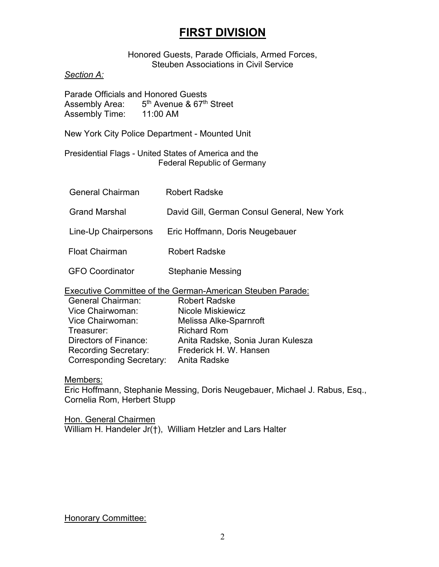## **FIRST DIVISION**

#### Honored Guests, Parade Officials, Armed Forces, Steuben Associations in Civil Service

#### *Section A:*

Parade Officials and Honored Guests Assembly Area:  $5<sup>th</sup>$  Avenue & 67<sup>th</sup> Street<br>Assembly Time: 11:00 AM Assembly Time:

New York City Police Department - Mounted Unit

Presidential Flags - United States of America and the Federal Republic of Germany

| <b>General Chairman</b> | <b>Robert Radske</b>                        |
|-------------------------|---------------------------------------------|
| <b>Grand Marshal</b>    | David Gill, German Consul General, New York |
| Line-Up Chairpersons    | Eric Hoffmann, Doris Neugebauer             |
| <b>Float Chairman</b>   | <b>Robert Radske</b>                        |
| <b>GFO Coordinator</b>  | <b>Stephanie Messing</b>                    |

Executive Committee of the German-American Steuben Parade:

| <b>Robert Radske</b>              |
|-----------------------------------|
| Nicole Miskiewicz                 |
| Melissa Alke-Sparnroft            |
| <b>Richard Rom</b>                |
| Anita Radske, Sonia Juran Kulesza |
| Frederick H. W. Hansen            |
| Anita Radske                      |
|                                   |

#### Members:

Eric Hoffmann, Stephanie Messing, Doris Neugebauer, Michael J. Rabus, Esq., Cornelia Rom, Herbert Stupp

Hon. General Chairmen William H. Handeler Jr(†), William Hetzler and Lars Halter

#### **Honorary Committee:**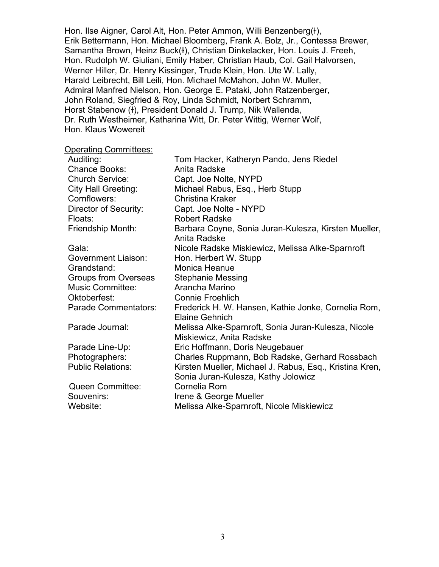Hon. Ilse Aigner, Carol Alt, Hon. Peter Ammon, Willi Benzenberg(+), Erik Bettermann, Hon. Michael Bloomberg, Frank A. Bolz, Jr., Contessa Brewer, Samantha Brown, Heinz Buck(ł), Christian Dinkelacker, Hon. Louis J. Freeh, Hon. Rudolph W. Giuliani, Emily Haber, Christian Haub, Col. Gail Halvorsen, Werner Hiller, Dr. Henry Kissinger, Trude Klein, Hon. Ute W. Lally, Harald Leibrecht, Bill Leili, Hon. Michael McMahon, John W. Muller, Admiral Manfred Nielson, Hon. George E. Pataki, John Ratzenberger, John Roland, Siegfried & Roy, Linda Schmidt, Norbert Schramm, Horst Stabenow (ɫ), President Donald J. Trump, Nik Wallenda, Dr. Ruth Westheimer, Katharina Witt, Dr. Peter Wittig, Werner Wolf, Hon. Klaus Wowereit

#### Operating Committees:

| Auditing:                   | Tom Hacker, Katheryn Pando, Jens Riedel                              |
|-----------------------------|----------------------------------------------------------------------|
| <b>Chance Books:</b>        | Anita Radske                                                         |
| <b>Church Service:</b>      | Capt. Joe Nolte, NYPD                                                |
| <b>City Hall Greeting:</b>  | Michael Rabus, Esq., Herb Stupp                                      |
| Cornflowers:                | <b>Christina Kraker</b>                                              |
| Director of Security:       | Capt. Joe Nolte - NYPD                                               |
| Floats:                     | <b>Robert Radske</b>                                                 |
| Friendship Month:           | Barbara Coyne, Sonia Juran-Kulesza, Kirsten Mueller,<br>Anita Radske |
| Gala:                       | Nicole Radske Miskiewicz, Melissa Alke-Sparnroft                     |
| Government Liaison:         | Hon. Herbert W. Stupp                                                |
| Grandstand:                 | Monica Heanue                                                        |
| Groups from Overseas        | <b>Stephanie Messing</b>                                             |
| <b>Music Committee:</b>     | Arancha Marino                                                       |
| Oktoberfest:                | <b>Connie Froehlich</b>                                              |
| <b>Parade Commentators:</b> | Frederick H. W. Hansen, Kathie Jonke, Cornelia Rom,                  |
|                             | Elaine Gehnich                                                       |
| Parade Journal:             | Melissa Alke-Sparnroft, Sonia Juran-Kulesza, Nicole                  |
|                             | Miskiewicz, Anita Radske                                             |
| Parade Line-Up:             | Eric Hoffmann, Doris Neugebauer                                      |
| Photographers:              | Charles Ruppmann, Bob Radske, Gerhard Rossbach                       |
| <b>Public Relations:</b>    | Kirsten Mueller, Michael J. Rabus, Esq., Kristina Kren,              |
|                             | Sonia Juran-Kulesza, Kathy Jolowicz                                  |
| <b>Queen Committee:</b>     | Cornelia Rom                                                         |
| Souvenirs:                  | Irene & George Mueller                                               |
| Website:                    | Melissa Alke-Sparnroft, Nicole Miskiewicz                            |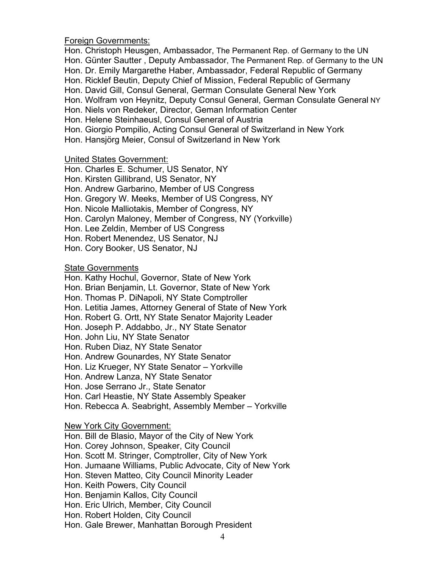Foreign Governments:

Hon. Christoph Heusgen, Ambassador, The Permanent Rep. of Germany to the UN Hon. Günter Sautter , Deputy Ambassador, The Permanent Rep. of Germany to the UN Hon. Dr. Emily Margarethe Haber, Ambassador, Federal Republic of Germany Hon. Ricklef Beutin, Deputy Chief of Mission, Federal Republic of Germany Hon. David Gill, Consul General, German Consulate General New York Hon. Wolfram von Heynitz, Deputy Consul General, German Consulate General NY Hon. Niels von Redeker, Director, Geman Information Center Hon. Helene Steinhaeusl, Consul General of Austria Hon. Giorgio Pompilio, Acting Consul General of Switzerland in New York Hon. Hansjörg Meier, Consul of Switzerland in New York

#### United States Government:

Hon. Charles E. Schumer, US Senator, NY Hon. Kirsten Gillibrand, US Senator, NY Hon. Andrew Garbarino, Member of US Congress Hon. Gregory W. Meeks, Member of US Congress, NY Hon. Nicole Malliotakis, Member of Congress, NY Hon. Carolyn Maloney, Member of Congress, NY (Yorkville) Hon. Lee Zeldin, Member of US Congress Hon. Robert Menendez, US Senator, NJ Hon. Cory Booker, US Senator, NJ

#### State Governments

Hon. Kathy Hochul, Governor, State of New York Hon. Brian Benjamin, Lt. Governor, State of New York Hon. Thomas P. DiNapoli, NY State Comptroller Hon. Letitia James, Attorney General of State of New York Hon. Robert G. Ortt, NY State Senator Majority Leader Hon. Joseph P. Addabbo, Jr., NY State Senator Hon. John Liu, NY State Senator Hon. Ruben Diaz, NY State Senator Hon. Andrew Gounardes, NY State Senator Hon. Liz Krueger, NY State Senator – Yorkville Hon. Andrew Lanza, NY State Senator Hon. Jose Serrano Jr., State Senator Hon. Carl Heastie, NY State Assembly Speaker Hon. Rebecca A. Seabright, Assembly Member – Yorkville

#### New York City Government:

Hon. Bill de Blasio, Mayor of the City of New York Hon. Corey Johnson, Speaker, City Council Hon. Scott M. Stringer, Comptroller, City of New York Hon. Jumaane Williams, Public Advocate, City of New York Hon. Steven Matteo, City Council Minority Leader Hon. Keith Powers, City Council Hon. Benjamin Kallos, City Council Hon. Eric Ulrich, Member, City Council Hon. Robert Holden, City Council Hon. Gale Brewer, Manhattan Borough President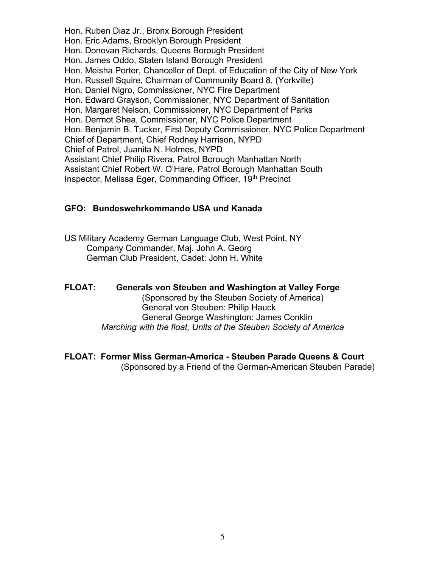Hon. Ruben Diaz Jr., Bronx Borough President Hon. Eric Adams, Brooklyn Borough President Hon. Donovan Richards, Queens Borough President Hon. James Oddo, Staten Island Borough President Hon. Meisha Porter, Chancellor of Dept. of Education of the City of New York Hon. Russell Squire, Chairman of Community Board 8, (Yorkville) Hon. Daniel Nigro, Commissioner, NYC Fire Department Hon. Edward Grayson, Commissioner, NYC Department of Sanitation Hon. Margaret Nelson, Commissioner, NYC Department of Parks Hon. Dermot Shea, Commissioner, NYC Police Department Hon. Benjamin B. Tucker, First Deputy Commissioner, NYC Police Department Chief of Department, Chief Rodney Harrison, NYPD Chief of Patrol, Juanita N. Holmes, NYPD Assistant Chief Philip Rivera, Patrol Borough Manhattan North Assistant Chief Robert W. O'Hare, Patrol Borough Manhattan South Inspector, Melissa Eger, Commanding Officer, 19<sup>th</sup> Precinct

#### **GFO: Bundeswehrkommando USA und Kanada**

US Military Academy German Language Club, West Point, NY Company Commander, Maj. John A. Georg German Club President, Cadet: John H. White

### **FLOAT: Generals von Steuben and Washington at Valley Forge**

(Sponsored by the Steuben Society of America) General von Steuben: Philip Hauck General George Washington: James Conklin *Marching with the float, Units of the Steuben Society of America*

#### **FLOAT: Former Miss German-America - Steuben Parade Queens & Court**

(Sponsored by a Friend of the German-American Steuben Parade)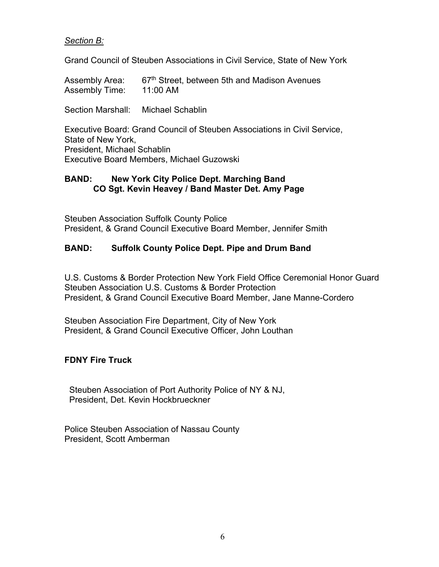#### *Section B:*

Grand Council of Steuben Associations in Civil Service, State of New York

Assembly Area: 67<sup>th</sup> Street, between 5th and Madison Avenues Assembly Time: 11:00 AM

Section Marshall: Michael Schablin

Executive Board: Grand Council of Steuben Associations in Civil Service, State of New York, President, Michael Schablin Executive Board Members, Michael Guzowski

#### **BAND: New York City Police Dept. Marching Band CO Sgt. Kevin Heavey / Band Master Det. Amy Page**

Steuben Association Suffolk County Police President, & Grand Council Executive Board Member, Jennifer Smith

#### **BAND: Suffolk County Police Dept. Pipe and Drum Band**

U.S. Customs & Border Protection New York Field Office Ceremonial Honor Guard Steuben Association U.S. Customs & Border Protection President, & Grand Council Executive Board Member, Jane Manne-Cordero

Steuben Association Fire Department, City of New York President, & Grand Council Executive Officer, John Louthan

#### **FDNY Fire Truck**

 Steuben Association of Port Authority Police of NY & NJ, President, Det. Kevin Hockbrueckner

Police Steuben Association of Nassau County President, Scott Amberman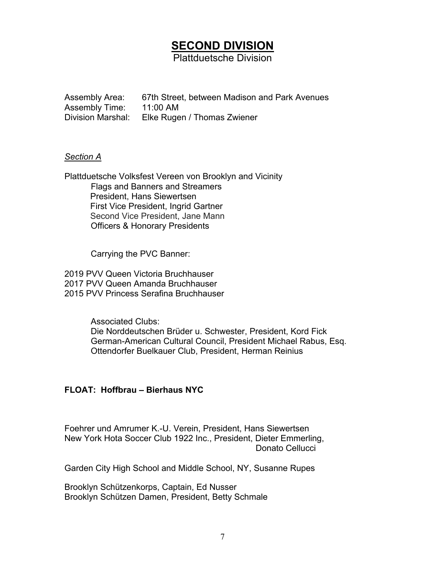## **SECOND DIVISION**

Plattduetsche Division

Assembly Area: 67th Street, between Madison and Park Avenues Assembly Time: 11:00 AM<br>Division Marshal: Elke Ruge Elke Rugen / Thomas Zwiener

#### *Section A*

Plattduetsche Volksfest Vereen von Brooklyn and Vicinity Flags and Banners and Streamers President, Hans Siewertsen First Vice President, Ingrid Gartner Second Vice President, Jane Mann Officers & Honorary Presidents

Carrying the PVC Banner:

2019 PVV Queen Victoria Bruchhauser 2017 PVV Queen Amanda Bruchhauser 2015 PVV Princess Serafina Bruchhauser

> Associated Clubs: Die Norddeutschen Brüder u. Schwester, President, Kord Fick German-American Cultural Council, President Michael Rabus, Esq. Ottendorfer Buelkauer Club, President, Herman Reinius

#### **FLOAT: Hoffbrau – Bierhaus NYC**

Foehrer und Amrumer K.-U. Verein, President, Hans Siewertsen New York Hota Soccer Club 1922 Inc., President, Dieter Emmerling, Donato Cellucci

Garden City High School and Middle School, NY, Susanne Rupes

Brooklyn Schützenkorps, Captain, Ed Nusser Brooklyn Schützen Damen, President, Betty Schmale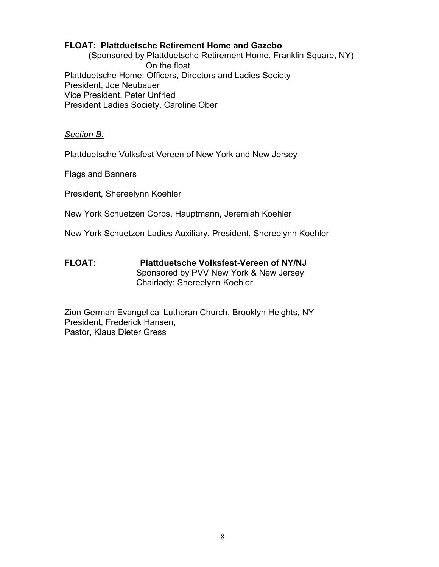#### **FLOAT: Plattduetsche Retirement Home and Gazebo**

 (Sponsored by Plattduetsche Retirement Home, Franklin Square, NY) On the float Plattduetsche Home: Officers, Directors and Ladies Society President, Joe Neubauer Vice President, Peter Unfried President Ladies Society, Caroline Ober

#### *Section B:*

Plattduetsche Volksfest Vereen of New York and New Jersey

Flags and Banners

President, Shereelynn Koehler

New York Schuetzen Corps, Hauptmann, Jeremiah Koehler

New York Schuetzen Ladies Auxiliary, President, Shereelynn Koehler

**FLOAT: Plattduetsche Volksfest-Vereen of NY/NJ** Sponsored by PVV New York & New Jersey Chairlady: Shereelynn Koehler

Zion German Evangelical Lutheran Church, Brooklyn Heights, NY President, Frederick Hansen, Pastor, Klaus Dieter Gress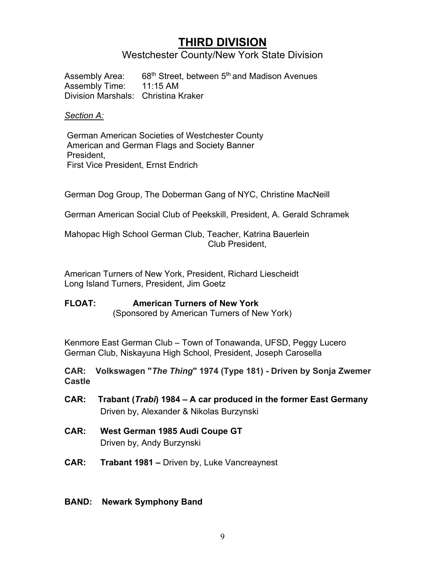## **THIRD DIVISION**

#### Westchester County/New York State Division

Assembly Area: 68<sup>th</sup> Street, between 5<sup>th</sup> and Madison Avenues Assembly Time: 11:15 AM Division Marshals: Christina Kraker

#### *Section A:*

German American Societies of Westchester County American and German Flags and Society Banner President, First Vice President, Ernst Endrich

German Dog Group, The Doberman Gang of NYC, Christine MacNeill

German American Social Club of Peekskill, President, A. Gerald Schramek

Mahopac High School German Club, Teacher, Katrina Bauerlein Club President,

American Turners of New York, President, Richard Liescheidt Long Island Turners, President, Jim Goetz

#### **FLOAT: American Turners of New York** (Sponsored by American Turners of New York)

Kenmore East German Club – Town of Tonawanda, UFSD, Peggy Lucero German Club, Niskayuna High School, President, Joseph Carosella

**CAR: Volkswagen "***The Thing***" 1974 (Type 181) - Driven by Sonja Zwemer Castle**

- **CAR: Trabant (***Trabi***) 1984 – A car produced in the former East Germany** Driven by, Alexander & Nikolas Burzynski
- **CAR: West German 1985 Audi Coupe GT** Driven by, Andy Burzynski
- **CAR: Trabant 1981 –** Driven by, Luke Vancreaynest

#### **BAND: Newark Symphony Band**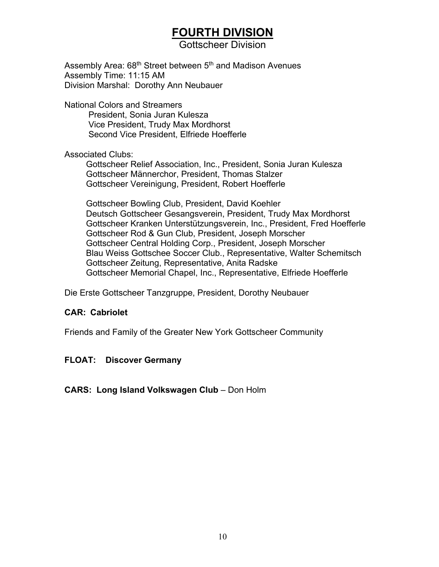## **FOURTH DIVISION**

Gottscheer Division

Assembly Area: 68<sup>th</sup> Street between 5<sup>th</sup> and Madison Avenues Assembly Time: 11:15 AM Division Marshal: Dorothy Ann Neubauer

National Colors and Streamers President, Sonia Juran Kulesza Vice President, Trudy Max Mordhorst Second Vice President, Elfriede Hoefferle

#### Associated Clubs:

 Gottscheer Relief Association, Inc., President, Sonia Juran Kulesza Gottscheer Männerchor, President, Thomas Stalzer Gottscheer Vereinigung, President, Robert Hoefferle

 Gottscheer Bowling Club, President, David Koehler Deutsch Gottscheer Gesangsverein, President, Trudy Max Mordhorst Gottscheer Kranken Unterstützungsverein, Inc., President, Fred Hoefferle Gottscheer Rod & Gun Club, President, Joseph Morscher Gottscheer Central Holding Corp., President, Joseph Morscher Blau Weiss Gottschee Soccer Club., Representative, Walter Schemitsch Gottscheer Zeitung, Representative, Anita Radske Gottscheer Memorial Chapel, Inc., Representative, Elfriede Hoefferle

Die Erste Gottscheer Tanzgruppe, President, Dorothy Neubauer

#### **CAR: Cabriolet**

Friends and Family of the Greater New York Gottscheer Community

#### **FLOAT: Discover Germany**

#### **CARS: Long Island Volkswagen Club** – Don Holm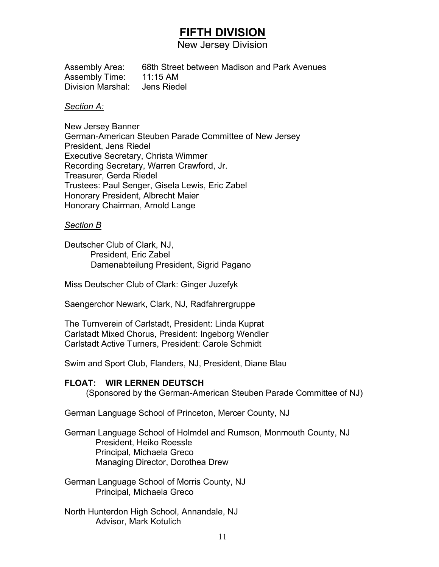## **FIFTH DIVISION**

New Jersey Division

Assembly Area: 68th Street between Madison and Park Avenues Assembly Time: 11:15 AM Division Marshal: Jens Riedel

#### *Section A:*

New Jersey Banner German-American Steuben Parade Committee of New Jersey President, Jens Riedel Executive Secretary, Christa Wimmer Recording Secretary, Warren Crawford, Jr. Treasurer, Gerda Riedel Trustees: Paul Senger, Gisela Lewis, Eric Zabel Honorary President, Albrecht Maier Honorary Chairman, Arnold Lange

#### *Section B*

Deutscher Club of Clark, NJ, President, Eric Zabel Damenabteilung President, Sigrid Pagano

Miss Deutscher Club of Clark: Ginger Juzefyk

Saengerchor Newark, Clark, NJ, Radfahrergruppe

The Turnverein of Carlstadt, President: Linda Kuprat Carlstadt Mixed Chorus, President: Ingeborg Wendler Carlstadt Active Turners, President: Carole Schmidt

Swim and Sport Club, Flanders, NJ, President, Diane Blau

#### **FLOAT: WIR LERNEN DEUTSCH**

(Sponsored by the German-American Steuben Parade Committee of NJ)

German Language School of Princeton, Mercer County, NJ

German Language School of Holmdel and Rumson, Monmouth County, NJ President, Heiko Roessle Principal, Michaela Greco Managing Director, Dorothea Drew

German Language School of Morris County, NJ Principal, Michaela Greco

North Hunterdon High School, Annandale, NJ Advisor, Mark Kotulich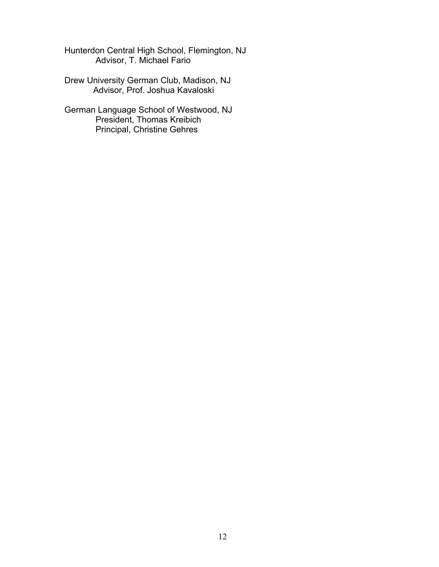Hunterdon Central High School, Flemington, NJ Advisor, T. Michael Fario

Drew University German Club, Madison, NJ Advisor, Prof. Joshua Kavaloski

German Language School of Westwood, NJ President, Thomas Kreibich Principal, Christine Gehres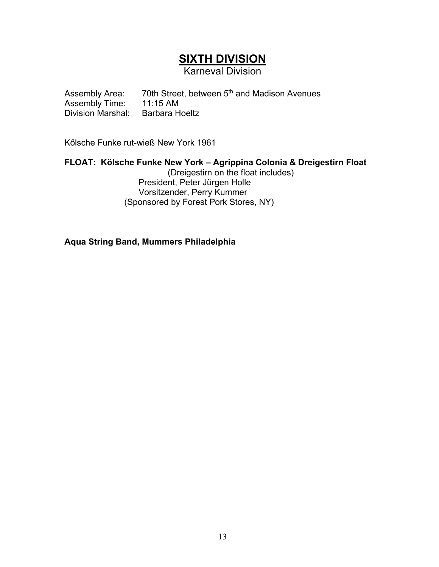## **SIXTH DIVISION**

Karneval Division

Assembly Area:  $70$ th Street, between 5<sup>th</sup> and Madison Avenues<br>Assembly Time:  $11:15$  AM Assembly Time: 11:15 AM<br>Division Marshal: Barbara Hoeltz Division Marshal:

Kőlsche Funke rut-wieß New York 1961

#### **FLOAT: Kölsche Funke New York – Agrippina Colonia & Dreigestirn Float**

(Dreigestirn on the float includes) President, Peter Jürgen Holle Vorsitzender, Perry Kummer (Sponsored by Forest Pork Stores, NY)

**Aqua String Band, Mummers Philadelphia**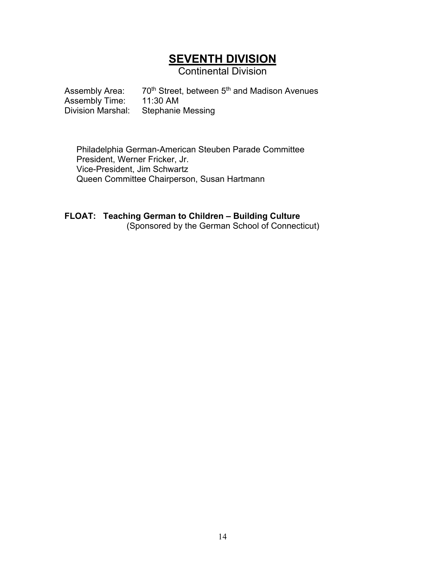## **SEVENTH DIVISION**

Continental Division

Assembly Area:  $70^{th}$  Street, between  $5^{th}$  and Madison Avenues Assembly Time:  $11:30$  AM Assembly Time:<br>Division Marshal: Stephanie Messing

Philadelphia German-American Steuben Parade Committee President, Werner Fricker, Jr. Vice-President, Jim Schwartz Queen Committee Chairperson, Susan Hartmann

#### **FLOAT: Teaching German to Children – Building Culture** (Sponsored by the German School of Connecticut)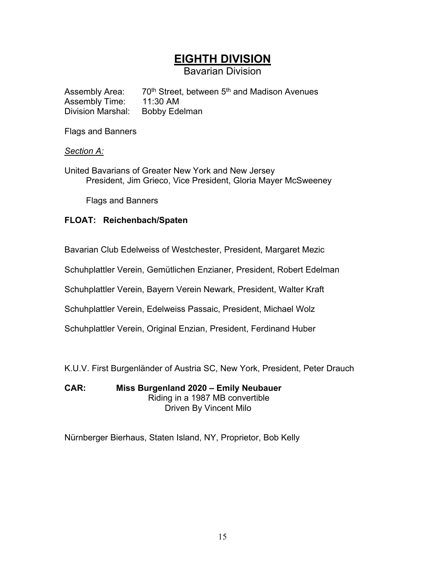## **EIGHTH DIVISION**

Bavarian Division

Assembly Area: 70<sup>th</sup> Street, between 5<sup>th</sup> and Madison Avenues Assembly Time: 11:30 AM<br>Division Marshal: Bobby Ede Bobby Edelman

Flags and Banners

#### *Section A:*

United Bavarians of Greater New York and New Jersey President, Jim Grieco, Vice President, Gloria Mayer McSweeney

Flags and Banners

#### **FLOAT: Reichenbach/Spaten**

Bavarian Club Edelweiss of Westchester, President, Margaret Mezic

Schuhplattler Verein, Gemütlichen Enzianer, President, Robert Edelman

Schuhplattler Verein, Bayern Verein Newark, President, Walter Kraft

Schuhplattler Verein, Edelweiss Passaic, President, Michael Wolz

Schuhplattler Verein, Original Enzian, President, Ferdinand Huber

K.U.V. First Burgenländer of Austria SC, New York, President, Peter Drauch

**CAR: Miss Burgenland 2020 – Emily Neubauer** Riding in a 1987 MB convertible Driven By Vincent Milo

Nürnberger Bierhaus, Staten Island, NY, Proprietor, Bob Kelly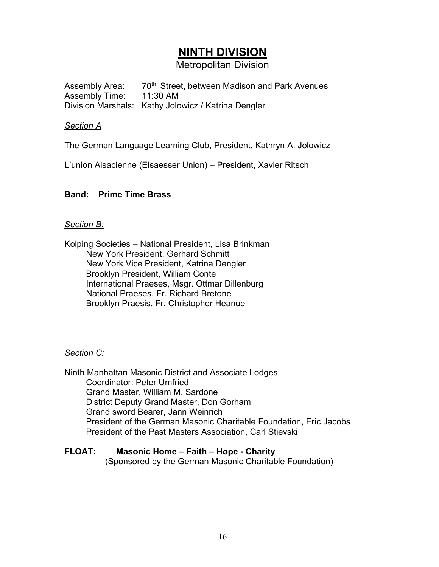## **NINTH DIVISION**

Metropolitan Division

Assembly Area: 70<sup>th</sup> Street, between Madison and Park Avenues Assembly Time: 11:30 AM Division Marshals: Kathy Jolowicz / Katrina Dengler

#### *Section A*

The German Language Learning Club, President, Kathryn A. Jolowicz

L'union Alsacienne (Elsaesser Union) – President, Xavier Ritsch

#### **Band: Prime Time Brass**

#### *Section B:*

Kolping Societies – National President, Lisa Brinkman New York President, Gerhard Schmitt New York Vice President, Katrina Dengler Brooklyn President, William Conte International Praeses, Msgr. Ottmar Dillenburg National Praeses, Fr. Richard Bretone Brooklyn Praesis, Fr. Christopher Heanue

#### *Section C:*

Ninth Manhattan Masonic District and Associate Lodges Coordinator: Peter Umfried Grand Master, William M. Sardone District Deputy Grand Master, Don Gorham Grand sword Bearer, Jann Weinrich President of the German Masonic Charitable Foundation, Eric Jacobs President of the Past Masters Association, Carl Stievski

#### **FLOAT: Masonic Home – Faith – Hope - Charity**

(Sponsored by the German Masonic Charitable Foundation)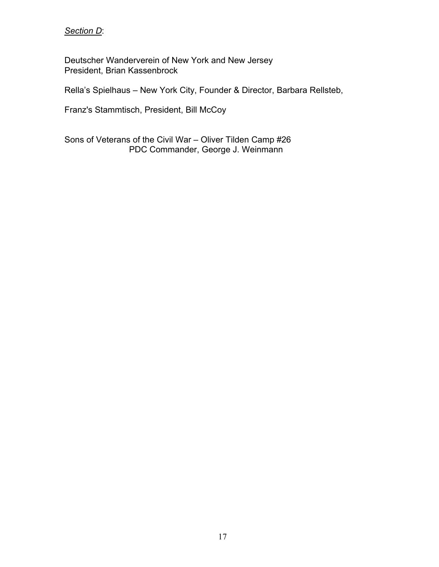#### *Section D*:

Deutscher Wanderverein of New York and New Jersey President, Brian Kassenbrock

Rella's Spielhaus – New York City, Founder & Director, Barbara Rellsteb,

Franz's Stammtisch, President, Bill McCoy

Sons of Veterans of the Civil War – Oliver Tilden Camp #26 PDC Commander, George J. Weinmann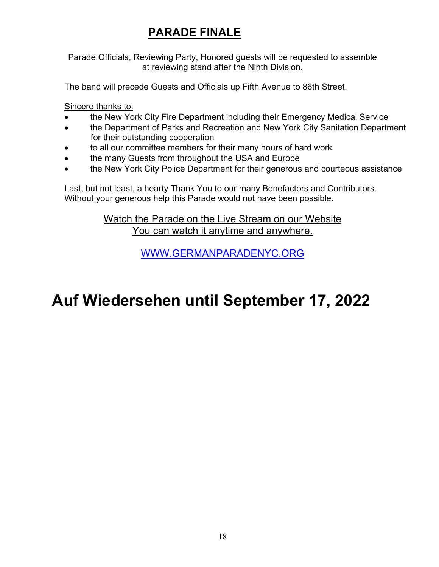## **PARADE FINALE**

Parade Officials, Reviewing Party, Honored guests will be requested to assemble at reviewing stand after the Ninth Division.

The band will precede Guests and Officials up Fifth Avenue to 86th Street.

Sincere thanks to:

- the New York City Fire Department including their Emergency Medical Service
- the Department of Parks and Recreation and New York City Sanitation Department for their outstanding cooperation
- to all our committee members for their many hours of hard work
- the many Guests from throughout the USA and Europe
- the New York City Police Department for their generous and courteous assistance

Last, but not least, a hearty Thank You to our many Benefactors and Contributors. Without your generous help this Parade would not have been possible.

> Watch the Parade on the Live Stream on our Website You can watch it anytime and anywhere.

> > [WWW.GERMANPARADENYC.ORG](http://www.germanparadenyc.org/)

## **Auf Wiedersehen until September 17, 2022**